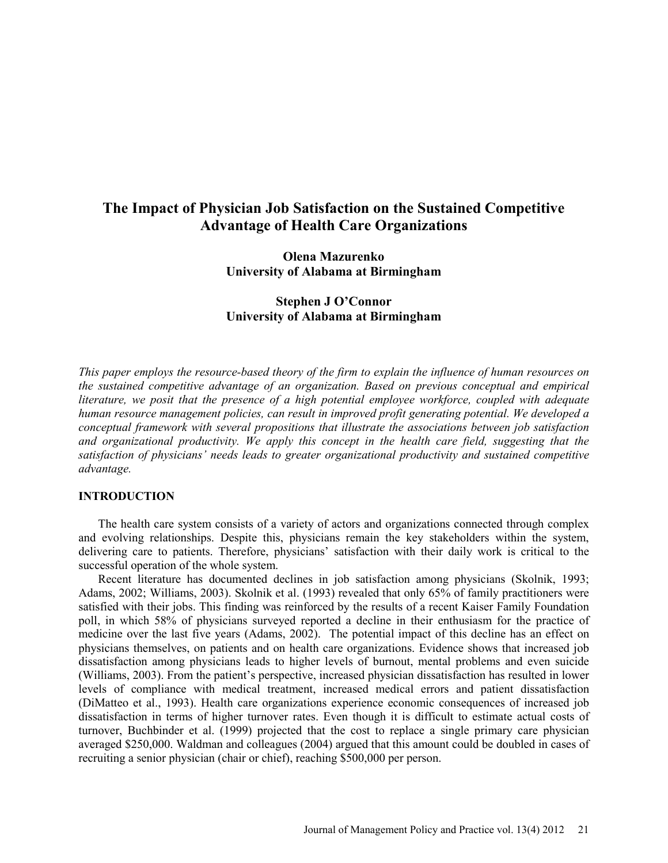# **The Impact of Physician Job Satisfaction on the Sustained Competitive Advantage of Health Care Organizations**

**Olena Mazurenko University of Alabama at Birmingham** 

**Stephen J O'Connor University of Alabama at Birmingham** 

*This paper employs the resource-based theory of the firm to explain the influence of human resources on the sustained competitive advantage of an organization. Based on previous conceptual and empirical literature, we posit that the presence of a high potential employee workforce, coupled with adequate human resource management policies, can result in improved profit generating potential. We developed a conceptual framework with several propositions that illustrate the associations between job satisfaction and organizational productivity. We apply this concept in the health care field, suggesting that the satisfaction of physicians' needs leads to greater organizational productivity and sustained competitive advantage.* 

### **INTRODUCTION**

The health care system consists of a variety of actors and organizations connected through complex and evolving relationships. Despite this, physicians remain the key stakeholders within the system, delivering care to patients. Therefore, physicians' satisfaction with their daily work is critical to the successful operation of the whole system.

Recent literature has documented declines in job satisfaction among physicians (Skolnik, 1993; Adams, 2002; Williams, 2003). Skolnik et al. (1993) revealed that only 65% of family practitioners were satisfied with their jobs. This finding was reinforced by the results of a recent Kaiser Family Foundation poll, in which 58% of physicians surveyed reported a decline in their enthusiasm for the practice of medicine over the last five years (Adams, 2002). The potential impact of this decline has an effect on physicians themselves, on patients and on health care organizations. Evidence shows that increased job dissatisfaction among physicians leads to higher levels of burnout, mental problems and even suicide (Williams, 2003). From the patient's perspective, increased physician dissatisfaction has resulted in lower levels of compliance with medical treatment, increased medical errors and patient dissatisfaction (DiMatteo et al., 1993). Health care organizations experience economic consequences of increased job dissatisfaction in terms of higher turnover rates. Even though it is difficult to estimate actual costs of turnover, Buchbinder et al. (1999) projected that the cost to replace a single primary care physician averaged \$250,000. Waldman and colleagues (2004) argued that this amount could be doubled in cases of recruiting a senior physician (chair or chief), reaching \$500,000 per person.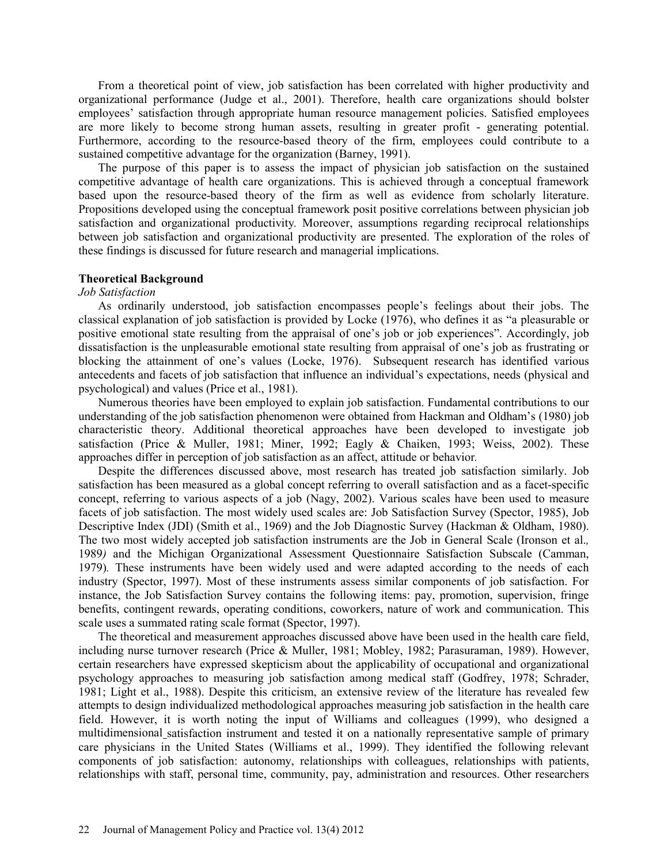From a theoretical point of view, job satisfaction has been correlated with higher productivity and organizational performance (Judge et al., 2001). Therefore, health care organizations should bolster employees' satisfaction through appropriate human resource management policies. Satisfied employees are more likely to become strong human assets, resulting in greater profit - generating potential. Furthermore, according to the resource-based theory of the firm, employees could contribute to a sustained competitive advantage for the organization (Barney, 1991).

The purpose of this paper is to assess the impact of physician job satisfaction on the sustained competitive advantage of health care organizations. This is achieved through a conceptual framework based upon the resource-based theory of the firm as well as evidence from scholarly literature. Propositions developed using the conceptual framework posit positive correlations between physician job satisfaction and organizational productivity*.* Moreover, assumptions regarding reciprocal relationships between job satisfaction and organizational productivity are presented. The exploration of the roles of these findings is discussed for future research and managerial implications.

### **Theoretical Background**

#### *Job Satisfaction*

As ordinarily understood, job satisfaction encompasses people's feelings about their jobs. The classical explanation of job satisfaction is provided by Locke (1976), who defines it as "a pleasurable or positive emotional state resulting from the appraisal of one's job or job experiences". Accordingly, job dissatisfaction is the unpleasurable emotional state resulting from appraisal of one's job as frustrating or blocking the attainment of one's values (Locke, 1976). Subsequent research has identified various antecedents and facets of job satisfaction that influence an individual's expectations, needs (physical and psychological) and values (Price et al., 1981).

Numerous theories have been employed to explain job satisfaction. Fundamental contributions to our understanding of the job satisfaction phenomenon were obtained from Hackman and Oldham's (1980) job characteristic theory. Additional theoretical approaches have been developed to investigate job satisfaction (Price & Muller, 1981; Miner, 1992; Eagly & Chaiken, 1993; Weiss, 2002). These approaches differ in perception of job satisfaction as an affect, attitude or behavior*.* 

Despite the differences discussed above, most research has treated job satisfaction similarly. Job satisfaction has been measured as a global concept referring to overall satisfaction and as a facet-specific concept, referring to various aspects of a job (Nagy, 2002). Various scales have been used to measure facets of job satisfaction. The most widely used scales are: Job Satisfaction Survey (Spector, 1985), Job Descriptive Index (JDI) (Smith et al., 1969) and the Job Diagnostic Survey (Hackman & Oldham, 1980). The two most widely accepted job satisfaction instruments are the Job in General Scale (Ironson et al.*,*  1989*)* and the Michigan Organizational Assessment Questionnaire Satisfaction Subscale (Camman, 1979)*.* These instruments have been widely used and were adapted according to the needs of each industry (Spector, 1997). Most of these instruments assess similar components of job satisfaction. For instance, the Job Satisfaction Survey contains the following items: pay, promotion, supervision, fringe benefits, contingent rewards, operating conditions, coworkers, nature of work and communication. This scale uses a summated rating scale format (Spector, 1997).

The theoretical and measurement approaches discussed above have been used in the health care field, including nurse turnover research (Price & Muller, 1981; Mobley, 1982; Parasuraman, 1989). However, certain researchers have expressed skepticism about the applicability of occupational and organizational psychology approaches to measuring job satisfaction among medical staff (Godfrey, 1978; Schrader, 1981; Light et al., 1988). Despite this criticism, an extensive review of the literature has revealed few attempts to design individualized methodological approaches measuring job satisfaction in the health care field. However, it is worth noting the input of Williams and colleagues (1999), who designed a multidimensional satisfaction instrument and tested it on a nationally representative sample of primary care physicians in the United States (Williams et al., 1999). They identified the following relevant components of job satisfaction: autonomy, relationships with colleagues, relationships with patients, relationships with staff, personal time, community, pay, administration and resources. Other researchers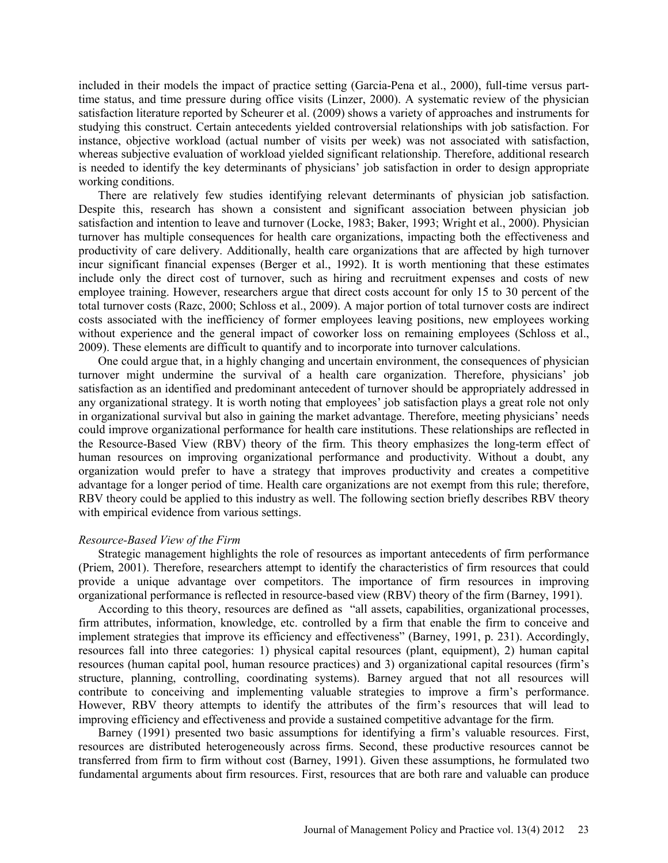included in their models the impact of practice setting (Garcia-Pena et al., 2000), full-time versus parttime status, and time pressure during office visits (Linzer, 2000). A systematic review of the physician satisfaction literature reported by Scheurer et al. (2009) shows a variety of approaches and instruments for studying this construct. Certain antecedents yielded controversial relationships with job satisfaction. For instance, objective workload (actual number of visits per week) was not associated with satisfaction, whereas subjective evaluation of workload yielded significant relationship. Therefore, additional research is needed to identify the key determinants of physicians' job satisfaction in order to design appropriate working conditions.

There are relatively few studies identifying relevant determinants of physician job satisfaction. Despite this, research has shown a consistent and significant association between physician job satisfaction and intention to leave and turnover (Locke, 1983; Baker, 1993; Wright et al., 2000). Physician turnover has multiple consequences for health care organizations, impacting both the effectiveness and productivity of care delivery. Additionally, health care organizations that are affected by high turnover incur significant financial expenses (Berger et al., 1992). It is worth mentioning that these estimates include only the direct cost of turnover, such as hiring and recruitment expenses and costs of new employee training. However, researchers argue that direct costs account for only 15 to 30 percent of the total turnover costs (Razc, 2000; Schloss et al., 2009). A major portion of total turnover costs are indirect costs associated with the inefficiency of former employees leaving positions, new employees working without experience and the general impact of coworker loss on remaining employees (Schloss et al., 2009). These elements are difficult to quantify and to incorporate into turnover calculations.

One could argue that, in a highly changing and uncertain environment, the consequences of physician turnover might undermine the survival of a health care organization. Therefore, physicians' job satisfaction as an identified and predominant antecedent of turnover should be appropriately addressed in any organizational strategy. It is worth noting that employees' job satisfaction plays a great role not only in organizational survival but also in gaining the market advantage. Therefore, meeting physicians' needs could improve organizational performance for health care institutions. These relationships are reflected in the Resource-Based View (RBV) theory of the firm. This theory emphasizes the long-term effect of human resources on improving organizational performance and productivity. Without a doubt, any organization would prefer to have a strategy that improves productivity and creates a competitive advantage for a longer period of time. Health care organizations are not exempt from this rule; therefore, RBV theory could be applied to this industry as well. The following section briefly describes RBV theory with empirical evidence from various settings.

### *Resource-Based View of the Firm*

Strategic management highlights the role of resources as important antecedents of firm performance (Priem, 2001). Therefore, researchers attempt to identify the characteristics of firm resources that could provide a unique advantage over competitors. The importance of firm resources in improving organizational performance is reflected in resource-based view (RBV) theory of the firm (Barney, 1991).

According to this theory, resources are defined as "all assets, capabilities, organizational processes, firm attributes, information, knowledge, etc. controlled by a firm that enable the firm to conceive and implement strategies that improve its efficiency and effectiveness" (Barney, 1991, p. 231). Accordingly, resources fall into three categories: 1) physical capital resources (plant, equipment), 2) human capital resources (human capital pool, human resource practices) and 3) organizational capital resources (firm's structure, planning, controlling, coordinating systems). Barney argued that not all resources will contribute to conceiving and implementing valuable strategies to improve a firm's performance. However, RBV theory attempts to identify the attributes of the firm's resources that will lead to improving efficiency and effectiveness and provide a sustained competitive advantage for the firm.

Barney (1991) presented two basic assumptions for identifying a firm's valuable resources. First, resources are distributed heterogeneously across firms. Second, these productive resources cannot be transferred from firm to firm without cost (Barney, 1991). Given these assumptions, he formulated two fundamental arguments about firm resources. First, resources that are both rare and valuable can produce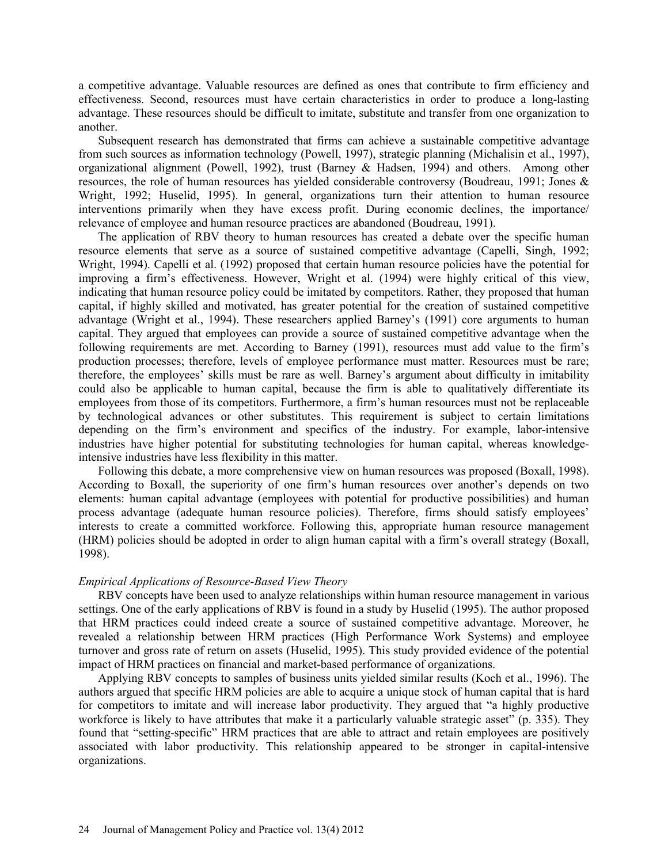a competitive advantage. Valuable resources are defined as ones that contribute to firm efficiency and effectiveness. Second, resources must have certain characteristics in order to produce a long-lasting advantage. These resources should be difficult to imitate, substitute and transfer from one organization to another.

Subsequent research has demonstrated that firms can achieve a sustainable competitive advantage from such sources as information technology (Powell, 1997), strategic planning (Michalisin et al., 1997), organizational alignment (Powell, 1992), trust (Barney & Hadsen, 1994) and others. Among other resources, the role of human resources has yielded considerable controversy (Boudreau, 1991; Jones & Wright, 1992; Huselid, 1995). In general, organizations turn their attention to human resource interventions primarily when they have excess profit. During economic declines, the importance/ relevance of employee and human resource practices are abandoned (Boudreau, 1991).

The application of RBV theory to human resources has created a debate over the specific human resource elements that serve as a source of sustained competitive advantage (Capelli, Singh, 1992; Wright, 1994). Capelli et al. (1992) proposed that certain human resource policies have the potential for improving a firm's effectiveness. However, Wright et al. (1994) were highly critical of this view, indicating that human resource policy could be imitated by competitors. Rather, they proposed that human capital, if highly skilled and motivated, has greater potential for the creation of sustained competitive advantage (Wright et al., 1994). These researchers applied Barney's (1991) core arguments to human capital. They argued that employees can provide a source of sustained competitive advantage when the following requirements are met. According to Barney (1991), resources must add value to the firm's production processes; therefore, levels of employee performance must matter. Resources must be rare; therefore, the employees' skills must be rare as well. Barney's argument about difficulty in imitability could also be applicable to human capital, because the firm is able to qualitatively differentiate its employees from those of its competitors. Furthermore, a firm's human resources must not be replaceable by technological advances or other substitutes. This requirement is subject to certain limitations depending on the firm's environment and specifics of the industry. For example, labor-intensive industries have higher potential for substituting technologies for human capital, whereas knowledgeintensive industries have less flexibility in this matter.

Following this debate, a more comprehensive view on human resources was proposed (Boxall, 1998). According to Boxall, the superiority of one firm's human resources over another's depends on two elements: human capital advantage (employees with potential for productive possibilities) and human process advantage (adequate human resource policies). Therefore, firms should satisfy employees' interests to create a committed workforce. Following this, appropriate human resource management (HRM) policies should be adopted in order to align human capital with a firm's overall strategy (Boxall, 1998).

#### *Empirical Applications of Resource-Based View Theory*

RBV concepts have been used to analyze relationships within human resource management in various settings. One of the early applications of RBV is found in a study by Huselid (1995). The author proposed that HRM practices could indeed create a source of sustained competitive advantage. Moreover, he revealed a relationship between HRM practices (High Performance Work Systems) and employee turnover and gross rate of return on assets (Huselid, 1995). This study provided evidence of the potential impact of HRM practices on financial and market-based performance of organizations.

Applying RBV concepts to samples of business units yielded similar results (Koch et al., 1996). The authors argued that specific HRM policies are able to acquire a unique stock of human capital that is hard for competitors to imitate and will increase labor productivity. They argued that "a highly productive workforce is likely to have attributes that make it a particularly valuable strategic asset" (p. 335). They found that "setting-specific" HRM practices that are able to attract and retain employees are positively associated with labor productivity. This relationship appeared to be stronger in capital-intensive organizations.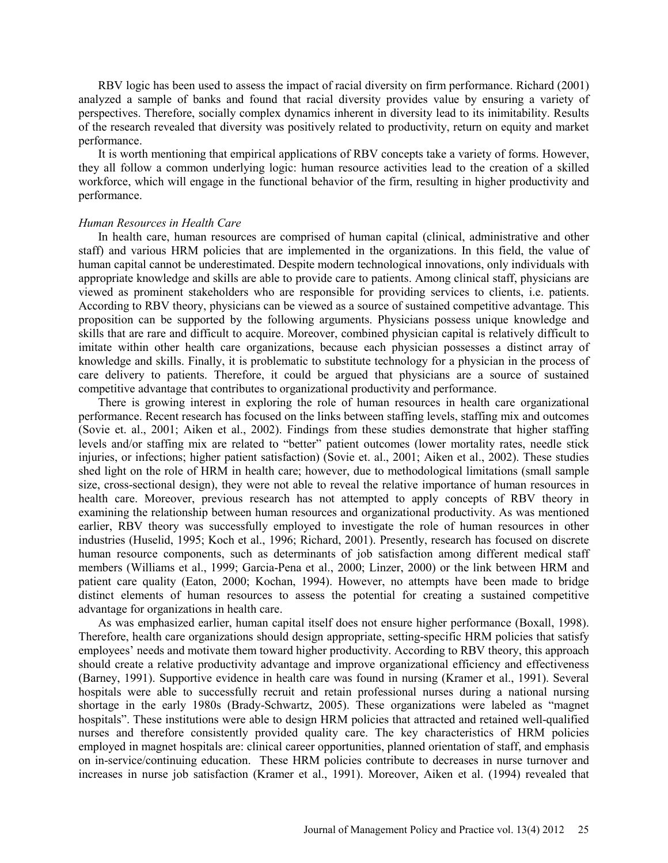RBV logic has been used to assess the impact of racial diversity on firm performance. Richard (2001) analyzed a sample of banks and found that racial diversity provides value by ensuring a variety of perspectives. Therefore, socially complex dynamics inherent in diversity lead to its inimitability. Results of the research revealed that diversity was positively related to productivity, return on equity and market performance.

It is worth mentioning that empirical applications of RBV concepts take a variety of forms. However, they all follow a common underlying logic: human resource activities lead to the creation of a skilled workforce, which will engage in the functional behavior of the firm, resulting in higher productivity and performance.

### *Human Resources in Health Care*

In health care, human resources are comprised of human capital (clinical, administrative and other staff) and various HRM policies that are implemented in the organizations. In this field, the value of human capital cannot be underestimated. Despite modern technological innovations, only individuals with appropriate knowledge and skills are able to provide care to patients. Among clinical staff, physicians are viewed as prominent stakeholders who are responsible for providing services to clients, i.e. patients. According to RBV theory, physicians can be viewed as a source of sustained competitive advantage. This proposition can be supported by the following arguments. Physicians possess unique knowledge and skills that are rare and difficult to acquire. Moreover, combined physician capital is relatively difficult to imitate within other health care organizations, because each physician possesses a distinct array of knowledge and skills. Finally, it is problematic to substitute technology for a physician in the process of care delivery to patients. Therefore, it could be argued that physicians are a source of sustained competitive advantage that contributes to organizational productivity and performance.

There is growing interest in exploring the role of human resources in health care organizational performance. Recent research has focused on the links between staffing levels, staffing mix and outcomes (Sovie et. al., 2001; Aiken et al., 2002). Findings from these studies demonstrate that higher staffing levels and/or staffing mix are related to "better" patient outcomes (lower mortality rates, needle stick injuries, or infections; higher patient satisfaction) (Sovie et. al., 2001; Aiken et al., 2002). These studies shed light on the role of HRM in health care; however, due to methodological limitations (small sample size, cross-sectional design), they were not able to reveal the relative importance of human resources in health care. Moreover, previous research has not attempted to apply concepts of RBV theory in examining the relationship between human resources and organizational productivity. As was mentioned earlier, RBV theory was successfully employed to investigate the role of human resources in other industries (Huselid, 1995; Koch et al., 1996; Richard, 2001). Presently, research has focused on discrete human resource components, such as determinants of job satisfaction among different medical staff members (Williams et al., 1999; Garcia-Pena et al., 2000; Linzer, 2000) or the link between HRM and patient care quality (Eaton, 2000; Kochan, 1994). However, no attempts have been made to bridge distinct elements of human resources to assess the potential for creating a sustained competitive advantage for organizations in health care.

As was emphasized earlier, human capital itself does not ensure higher performance (Boxall, 1998). Therefore, health care organizations should design appropriate, setting-specific HRM policies that satisfy employees' needs and motivate them toward higher productivity. According to RBV theory, this approach should create a relative productivity advantage and improve organizational efficiency and effectiveness (Barney, 1991). Supportive evidence in health care was found in nursing (Kramer et al., 1991). Several hospitals were able to successfully recruit and retain professional nurses during a national nursing shortage in the early 1980s (Brady-Schwartz, 2005). These organizations were labeled as "magnet hospitals". These institutions were able to design HRM policies that attracted and retained well-qualified nurses and therefore consistently provided quality care. The key characteristics of HRM policies employed in magnet hospitals are: clinical career opportunities, planned orientation of staff, and emphasis on in-service/continuing education. These HRM policies contribute to decreases in nurse turnover and increases in nurse job satisfaction (Kramer et al., 1991). Moreover, Aiken et al. (1994) revealed that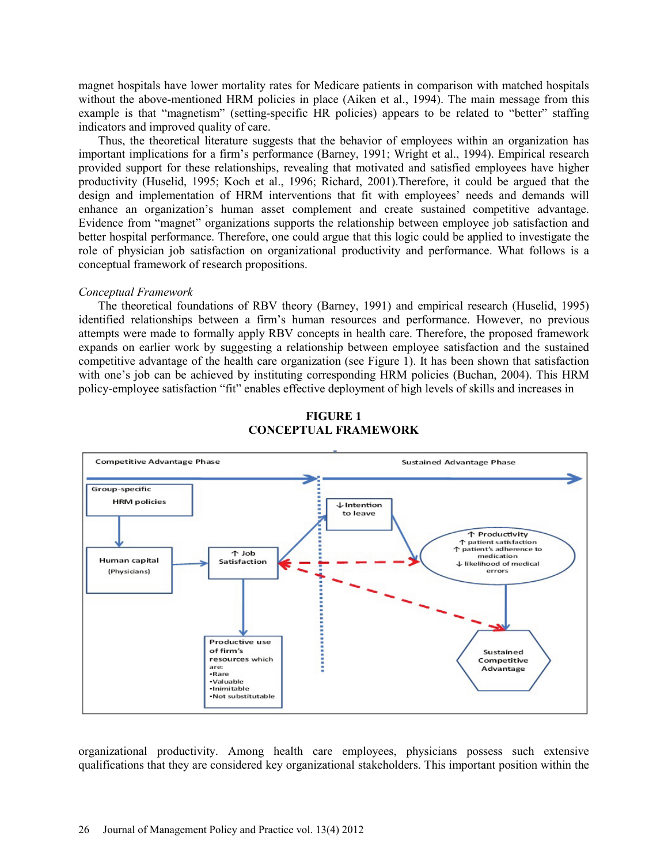magnet hospitals have lower mortality rates for Medicare patients in comparison with matched hospitals without the above-mentioned HRM policies in place (Aiken et al., 1994). The main message from this example is that "magnetism" (setting-specific HR policies) appears to be related to "better" staffing indicators and improved quality of care.

Thus, the theoretical literature suggests that the behavior of employees within an organization has important implications for a firm's performance (Barney, 1991; Wright et al., 1994). Empirical research provided support for these relationships, revealing that motivated and satisfied employees have higher productivity (Huselid, 1995; Koch et al., 1996; Richard, 2001).Therefore, it could be argued that the design and implementation of HRM interventions that fit with employees' needs and demands will enhance an organization's human asset complement and create sustained competitive advantage. Evidence from "magnet" organizations supports the relationship between employee job satisfaction and better hospital performance. Therefore, one could argue that this logic could be applied to investigate the role of physician job satisfaction on organizational productivity and performance. What follows is a conceptual framework of research propositions.

#### *Conceptual Framework*

The theoretical foundations of RBV theory (Barney, 1991) and empirical research (Huselid, 1995) identified relationships between a firm's human resources and performance. However, no previous attempts were made to formally apply RBV concepts in health care. Therefore, the proposed framework expands on earlier work by suggesting a relationship between employee satisfaction and the sustained competitive advantage of the health care organization (see Figure 1). It has been shown that satisfaction with one's job can be achieved by instituting corresponding HRM policies (Buchan, 2004). This HRM policy-employee satisfaction "fit" enables effective deployment of high levels of skills and increases in



# **FIGURE 1 CONCEPTUAL FRAMEWORK**

organizational productivity. Among health care employees, physicians possess such extensive qualifications that they are considered key organizational stakeholders. This important position within the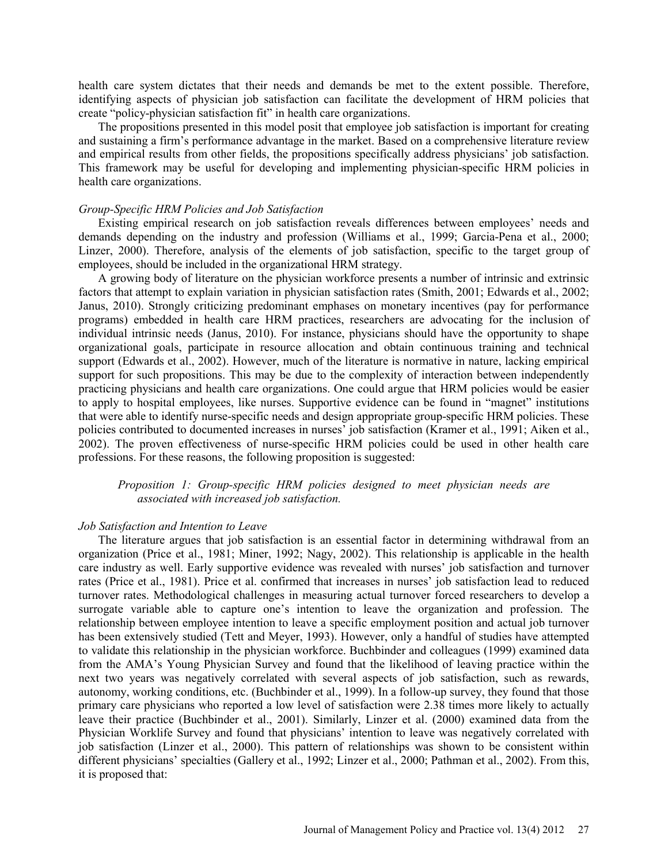health care system dictates that their needs and demands be met to the extent possible. Therefore, identifying aspects of physician job satisfaction can facilitate the development of HRM policies that create "policy-physician satisfaction fit" in health care organizations.

The propositions presented in this model posit that employee job satisfaction is important for creating and sustaining a firm's performance advantage in the market. Based on a comprehensive literature review and empirical results from other fields, the propositions specifically address physicians' job satisfaction. This framework may be useful for developing and implementing physician-specific HRM policies in health care organizations.

#### *Group-Specific HRM Policies and Job Satisfaction*

Existing empirical research on job satisfaction reveals differences between employees' needs and demands depending on the industry and profession (Williams et al., 1999; Garcia-Pena et al., 2000; Linzer, 2000). Therefore, analysis of the elements of job satisfaction, specific to the target group of employees, should be included in the organizational HRM strategy.

A growing body of literature on the physician workforce presents a number of intrinsic and extrinsic factors that attempt to explain variation in physician satisfaction rates (Smith, 2001; Edwards et al., 2002; Janus, 2010). Strongly criticizing predominant emphases on monetary incentives (pay for performance programs) embedded in health care HRM practices, researchers are advocating for the inclusion of individual intrinsic needs (Janus, 2010). For instance, physicians should have the opportunity to shape organizational goals, participate in resource allocation and obtain continuous training and technical support (Edwards et al., 2002). However, much of the literature is normative in nature, lacking empirical support for such propositions. This may be due to the complexity of interaction between independently practicing physicians and health care organizations. One could argue that HRM policies would be easier to apply to hospital employees, like nurses. Supportive evidence can be found in "magnet" institutions that were able to identify nurse-specific needs and design appropriate group-specific HRM policies. These policies contributed to documented increases in nurses' job satisfaction (Kramer et al., 1991; Aiken et al., 2002). The proven effectiveness of nurse-specific HRM policies could be used in other health care professions. For these reasons, the following proposition is suggested:

# *Proposition 1: Group-specific HRM policies designed to meet physician needs are associated with increased job satisfaction.*

#### *Job Satisfaction and Intention to Leave*

The literature argues that job satisfaction is an essential factor in determining withdrawal from an organization (Price et al., 1981; Miner, 1992; Nagy, 2002). This relationship is applicable in the health care industry as well. Early supportive evidence was revealed with nurses' job satisfaction and turnover rates (Price et al., 1981). Price et al. confirmed that increases in nurses' job satisfaction lead to reduced turnover rates. Methodological challenges in measuring actual turnover forced researchers to develop a surrogate variable able to capture one's intention to leave the organization and profession. The relationship between employee intention to leave a specific employment position and actual job turnover has been extensively studied (Tett and Meyer, 1993). However, only a handful of studies have attempted to validate this relationship in the physician workforce. Buchbinder and colleagues (1999) examined data from the AMA's Young Physician Survey and found that the likelihood of leaving practice within the next two years was negatively correlated with several aspects of job satisfaction, such as rewards, autonomy, working conditions, etc. (Buchbinder et al., 1999). In a follow-up survey, they found that those primary care physicians who reported a low level of satisfaction were 2.38 times more likely to actually leave their practice (Buchbinder et al., 2001). Similarly, Linzer et al. (2000) examined data from the Physician Worklife Survey and found that physicians' intention to leave was negatively correlated with job satisfaction (Linzer et al., 2000). This pattern of relationships was shown to be consistent within different physicians' specialties (Gallery et al., 1992; Linzer et al., 2000; Pathman et al., 2002). From this, it is proposed that: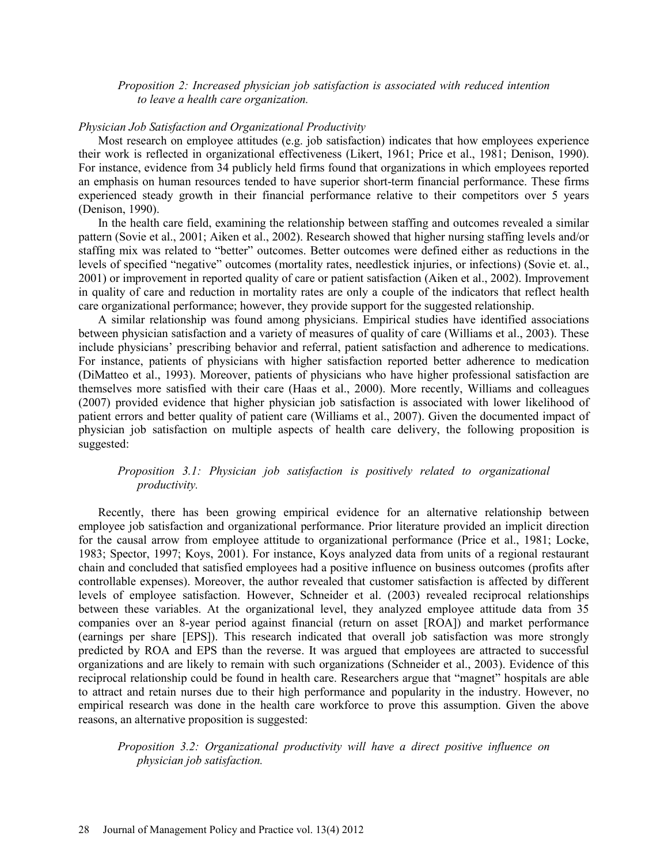## *Proposition 2: Increased physician job satisfaction is associated with reduced intention to leave a health care organization.*

### *Physician Job Satisfaction and Organizational Productivity*

Most research on employee attitudes (e.g. job satisfaction) indicates that how employees experience their work is reflected in organizational effectiveness (Likert, 1961; Price et al., 1981; Denison, 1990). For instance, evidence from 34 publicly held firms found that organizations in which employees reported an emphasis on human resources tended to have superior short-term financial performance. These firms experienced steady growth in their financial performance relative to their competitors over 5 years (Denison, 1990).

In the health care field, examining the relationship between staffing and outcomes revealed a similar pattern (Sovie et al., 2001; Aiken et al., 2002). Research showed that higher nursing staffing levels and/or staffing mix was related to "better" outcomes. Better outcomes were defined either as reductions in the levels of specified "negative" outcomes (mortality rates, needlestick injuries, or infections) (Sovie et. al., 2001) or improvement in reported quality of care or patient satisfaction (Aiken et al., 2002). Improvement in quality of care and reduction in mortality rates are only a couple of the indicators that reflect health care organizational performance; however, they provide support for the suggested relationship.

A similar relationship was found among physicians. Empirical studies have identified associations between physician satisfaction and a variety of measures of quality of care (Williams et al., 2003). These include physicians' prescribing behavior and referral, patient satisfaction and adherence to medications. For instance, patients of physicians with higher satisfaction reported better adherence to medication (DiMatteo et al., 1993). Moreover, patients of physicians who have higher professional satisfaction are themselves more satisfied with their care (Haas et al., 2000). More recently, Williams and colleagues (2007) provided evidence that higher physician job satisfaction is associated with lower likelihood of patient errors and better quality of patient care (Williams et al., 2007). Given the documented impact of physician job satisfaction on multiple aspects of health care delivery, the following proposition is suggested:

# *Proposition 3.1: Physician job satisfaction is positively related to organizational productivity.*

Recently, there has been growing empirical evidence for an alternative relationship between employee job satisfaction and organizational performance. Prior literature provided an implicit direction for the causal arrow from employee attitude to organizational performance (Price et al., 1981; Locke, 1983; Spector, 1997; Koys, 2001). For instance, Koys analyzed data from units of a regional restaurant chain and concluded that satisfied employees had a positive influence on business outcomes (profits after controllable expenses). Moreover, the author revealed that customer satisfaction is affected by different levels of employee satisfaction. However, Schneider et al. (2003) revealed reciprocal relationships between these variables. At the organizational level, they analyzed employee attitude data from 35 companies over an 8-year period against financial (return on asset [ROA]) and market performance (earnings per share [EPS]). This research indicated that overall job satisfaction was more strongly predicted by ROA and EPS than the reverse. It was argued that employees are attracted to successful organizations and are likely to remain with such organizations (Schneider et al., 2003). Evidence of this reciprocal relationship could be found in health care. Researchers argue that "magnet" hospitals are able to attract and retain nurses due to their high performance and popularity in the industry. However, no empirical research was done in the health care workforce to prove this assumption. Given the above reasons, an alternative proposition is suggested:

# *Proposition 3.2: Organizational productivity will have a direct positive influence on physician job satisfaction.*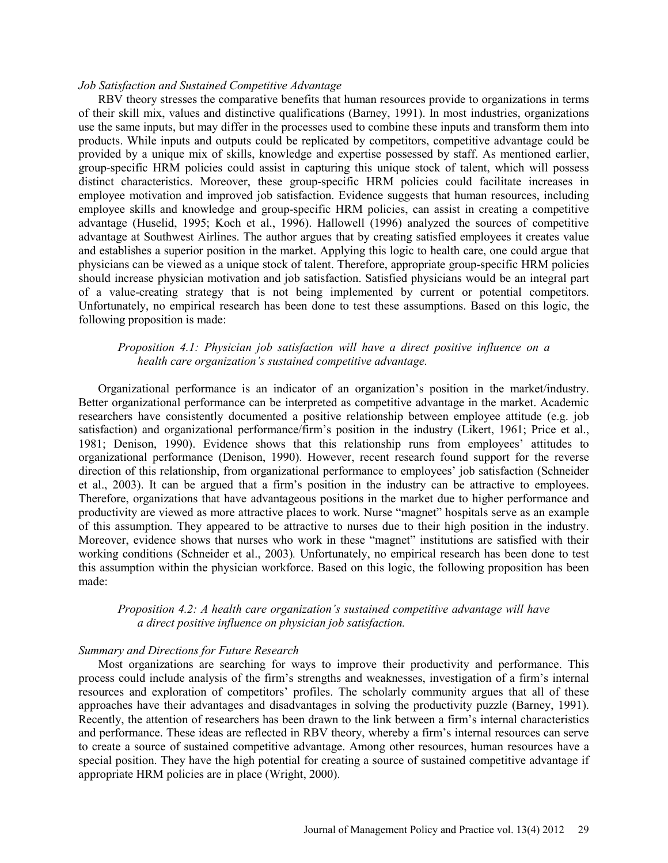### *Job Satisfaction and Sustained Competitive Advantage*

RBV theory stresses the comparative benefits that human resources provide to organizations in terms of their skill mix, values and distinctive qualifications (Barney, 1991). In most industries, organizations use the same inputs, but may differ in the processes used to combine these inputs and transform them into products. While inputs and outputs could be replicated by competitors, competitive advantage could be provided by a unique mix of skills, knowledge and expertise possessed by staff. As mentioned earlier, group-specific HRM policies could assist in capturing this unique stock of talent, which will possess distinct characteristics. Moreover, these group-specific HRM policies could facilitate increases in employee motivation and improved job satisfaction. Evidence suggests that human resources, including employee skills and knowledge and group-specific HRM policies, can assist in creating a competitive advantage (Huselid, 1995; Koch et al., 1996). Hallowell (1996) analyzed the sources of competitive advantage at Southwest Airlines. The author argues that by creating satisfied employees it creates value and establishes a superior position in the market. Applying this logic to health care, one could argue that physicians can be viewed as a unique stock of talent. Therefore, appropriate group-specific HRM policies should increase physician motivation and job satisfaction. Satisfied physicians would be an integral part of a value-creating strategy that is not being implemented by current or potential competitors. Unfortunately, no empirical research has been done to test these assumptions. Based on this logic, the following proposition is made:

## *Proposition 4.1: Physician job satisfaction will have a direct positive influence on a health care organization's sustained competitive advantage.*

Organizational performance is an indicator of an organization's position in the market/industry. Better organizational performance can be interpreted as competitive advantage in the market. Academic researchers have consistently documented a positive relationship between employee attitude (e.g. job satisfaction) and organizational performance/firm's position in the industry (Likert, 1961; Price et al., 1981; Denison, 1990). Evidence shows that this relationship runs from employees' attitudes to organizational performance (Denison, 1990). However, recent research found support for the reverse direction of this relationship, from organizational performance to employees' job satisfaction (Schneider et al., 2003). It can be argued that a firm's position in the industry can be attractive to employees. Therefore, organizations that have advantageous positions in the market due to higher performance and productivity are viewed as more attractive places to work. Nurse "magnet" hospitals serve as an example of this assumption. They appeared to be attractive to nurses due to their high position in the industry. Moreover, evidence shows that nurses who work in these "magnet" institutions are satisfied with their working conditions (Schneider et al., 2003)*.* Unfortunately, no empirical research has been done to test this assumption within the physician workforce. Based on this logic, the following proposition has been made:

## *Proposition 4.2: A health care organization's sustained competitive advantage will have a direct positive influence on physician job satisfaction.*

#### *Summary and Directions for Future Research*

Most organizations are searching for ways to improve their productivity and performance. This process could include analysis of the firm's strengths and weaknesses, investigation of a firm's internal resources and exploration of competitors' profiles. The scholarly community argues that all of these approaches have their advantages and disadvantages in solving the productivity puzzle (Barney, 1991). Recently, the attention of researchers has been drawn to the link between a firm's internal characteristics and performance. These ideas are reflected in RBV theory, whereby a firm's internal resources can serve to create a source of sustained competitive advantage. Among other resources, human resources have a special position. They have the high potential for creating a source of sustained competitive advantage if appropriate HRM policies are in place (Wright, 2000).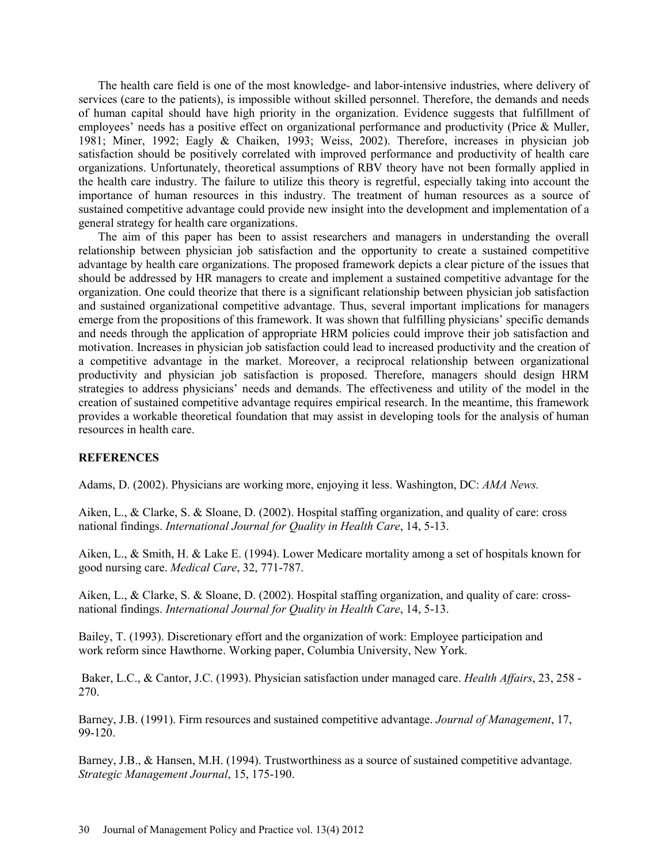The health care field is one of the most knowledge- and labor-intensive industries, where delivery of services (care to the patients), is impossible without skilled personnel. Therefore, the demands and needs of human capital should have high priority in the organization. Evidence suggests that fulfillment of employees' needs has a positive effect on organizational performance and productivity (Price & Muller, 1981; Miner, 1992; Eagly & Chaiken, 1993; Weiss, 2002). Therefore, increases in physician job satisfaction should be positively correlated with improved performance and productivity of health care organizations. Unfortunately, theoretical assumptions of RBV theory have not been formally applied in the health care industry. The failure to utilize this theory is regretful, especially taking into account the importance of human resources in this industry. The treatment of human resources as a source of sustained competitive advantage could provide new insight into the development and implementation of a general strategy for health care organizations.

The aim of this paper has been to assist researchers and managers in understanding the overall relationship between physician job satisfaction and the opportunity to create a sustained competitive advantage by health care organizations. The proposed framework depicts a clear picture of the issues that should be addressed by HR managers to create and implement a sustained competitive advantage for the organization. One could theorize that there is a significant relationship between physician job satisfaction and sustained organizational competitive advantage. Thus, several important implications for managers emerge from the propositions of this framework. It was shown that fulfilling physicians' specific demands and needs through the application of appropriate HRM policies could improve their job satisfaction and motivation. Increases in physician job satisfaction could lead to increased productivity and the creation of a competitive advantage in the market. Moreover, a reciprocal relationship between organizational productivity and physician job satisfaction is proposed. Therefore, managers should design HRM strategies to address physicians' needs and demands. The effectiveness and utility of the model in the creation of sustained competitive advantage requires empirical research. In the meantime, this framework provides a workable theoretical foundation that may assist in developing tools for the analysis of human resources in health care.

# **REFERENCES**

Adams, D. (2002). Physicians are working more, enjoying it less. Washington, DC: *AMA News.*

Aiken, L., & Clarke, S. & Sloane, D. (2002). Hospital staffing organization, and quality of care: cross national findings. *International Journal for Quality in Health Care*, 14, 5-13.

Aiken, L., & Smith, H. & Lake E. (1994). Lower Medicare mortality among a set of hospitals known for good nursing care. *Medical Care*, 32, 771-787.

Aiken, L., & Clarke, S. & Sloane, D. (2002). Hospital staffing organization, and quality of care: crossnational findings. *International Journal for Quality in Health Care*, 14, 5-13.

Bailey, T. (1993). Discretionary effort and the organization of work: Employee participation and work reform since Hawthorne. Working paper, Columbia University, New York.

 Baker, L.C., & Cantor, J.C. (1993). Physician satisfaction under managed care. *Health Affairs*, 23, 258 - 270.

Barney, J.B. (1991). Firm resources and sustained competitive advantage. *Journal of Management*, 17, 99-120.

Barney, J.B., & Hansen, M.H. (1994). Trustworthiness as a source of sustained competitive advantage. *Strategic Management Journal*, 15, 175-190.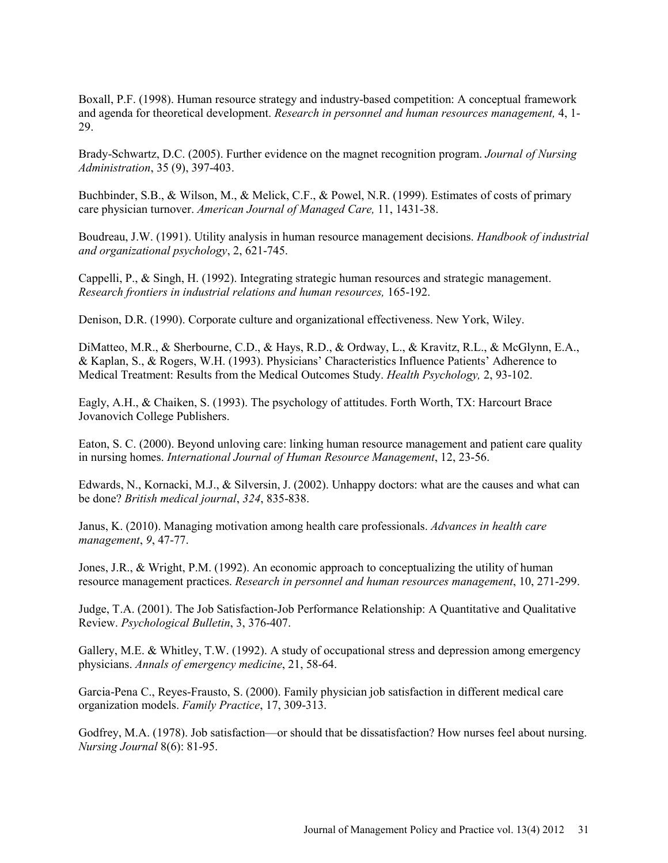Boxall, P.F. (1998). Human resource strategy and industry-based competition: A conceptual framework and agenda for theoretical development. *Research in personnel and human resources management,* 4, 1- 29.

Brady-Schwartz, D.C. (2005). Further evidence on the magnet recognition program. *Journal of Nursing Administration*, 35 (9), 397-403.

Buchbinder, S.B., & Wilson, M., & Melick, C.F., & Powel, N.R. (1999). Estimates of costs of primary care physician turnover. *American Journal of Managed Care,* 11, 1431-38.

Boudreau, J.W. (1991). Utility analysis in human resource management decisions. *Handbook of industrial and organizational psychology*, 2, 621-745.

Cappelli, P., & Singh, H. (1992). Integrating strategic human resources and strategic management. *Research frontiers in industrial relations and human resources,* 165-192.

Denison, D.R. (1990). Corporate culture and organizational effectiveness. New York, Wiley.

DiMatteo, M.R., & Sherbourne, C.D., & Hays, R.D., & Ordway, L., & Kravitz, R.L., & McGlynn, E.A., & Kaplan, S., & Rogers, W.H. (1993). Physicians' Characteristics Influence Patients' Adherence to Medical Treatment: Results from the Medical Outcomes Study. *Health Psychology,* 2, 93-102.

Eagly, A.H., & Chaiken, S. (1993). The psychology of attitudes. Forth Worth, TX: Harcourt Brace Jovanovich College Publishers.

Eaton, S. C. (2000). Beyond unloving care: linking human resource management and patient care quality in nursing homes. *International Journal of Human Resource Management*, 12, 23-56.

Edwards, N., Kornacki, M.J., & Silversin, J. (2002). Unhappy doctors: what are the causes and what can be done? *British medical journal*, *324*, 835-838.

Janus, K. (2010). Managing motivation among health care professionals. *Advances in health care management*, *9*, 47-77.

Jones, J.R., & Wright, P.M. (1992). An economic approach to conceptualizing the utility of human resource management practices. *Research in personnel and human resources management*, 10, 271-299.

Judge, T.A. (2001). The Job Satisfaction-Job Performance Relationship: A Quantitative and Qualitative Review. *Psychological Bulletin*, 3, 376-407.

Gallery, M.E. & Whitley, T.W. (1992). A study of occupational stress and depression among emergency physicians. *Annals of emergency medicine*, 21, 58-64.

Garcia-Pena C., Reyes-Frausto, S. (2000). Family physician job satisfaction in different medical care organization models. *Family Practice*, 17, 309-313.

Godfrey, M.A. (1978). Job satisfaction—or should that be dissatisfaction? How nurses feel about nursing. *Nursing Journal* 8(6): 81-95.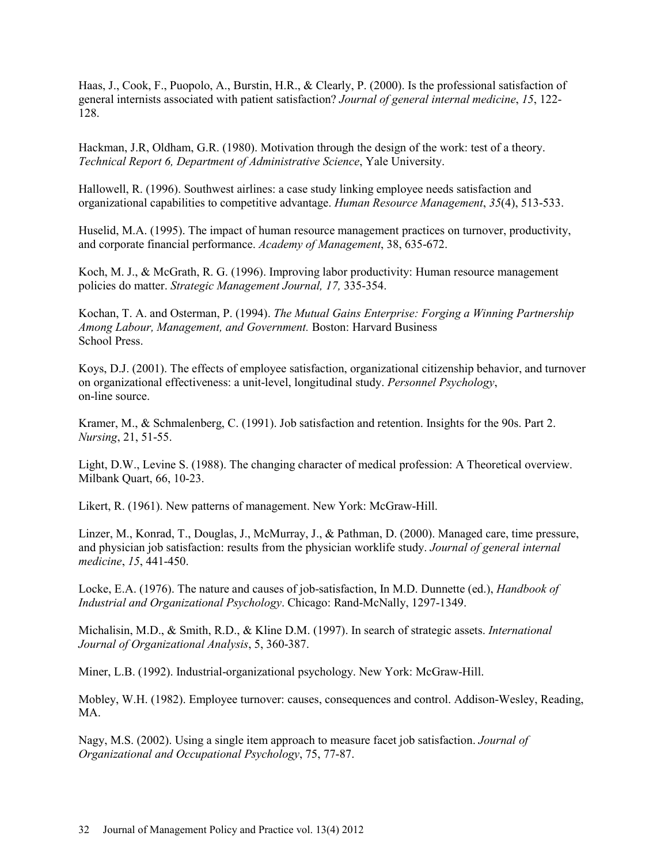Haas, J., Cook, F., Puopolo, A., Burstin, H.R., & Clearly, P. (2000). Is the professional satisfaction of general internists associated with patient satisfaction? *Journal of general internal medicine*, *15*, 122- 128.

Hackman, J.R, Oldham, G.R. (1980). Motivation through the design of the work: test of a theory. *Technical Report 6, Department of Administrative Science*, Yale University.

Hallowell, R. (1996). Southwest airlines: a case study linking employee needs satisfaction and organizational capabilities to competitive advantage. *Human Resource Management*, *35*(4), 513-533.

Huselid, M.A. (1995). The impact of human resource management practices on turnover, productivity, and corporate financial performance. *Academy of Management*, 38, 635-672.

Koch, M. J., & McGrath, R. G. (1996). Improving labor productivity: Human resource management policies do matter. *Strategic Management Journal, 17,* 335-354.

Kochan, T. A. and Osterman, P. (1994). *The Mutual Gains Enterprise: Forging a Winning Partnership Among Labour, Management, and Government.* Boston: Harvard Business School Press.

Koys, D.J. (2001). The effects of employee satisfaction, organizational citizenship behavior, and turnover on organizational effectiveness: a unit-level, longitudinal study. *Personnel Psychology*, on-line source.

Kramer, M., & Schmalenberg, C. (1991). Job satisfaction and retention. Insights for the 90s. Part 2. *Nursing*, 21, 51-55.

Light, D.W., Levine S. (1988). The changing character of medical profession: A Theoretical overview. Milbank Quart, 66, 10-23.

Likert, R. (1961). New patterns of management. New York: McGraw-Hill.

Linzer, M., Konrad, T., Douglas, J., McMurray, J., & Pathman, D. (2000). Managed care, time pressure, and physician job satisfaction: results from the physician worklife study. *Journal of general internal medicine*, *15*, 441-450.

Locke, E.A. (1976). The nature and causes of job-satisfaction, In M.D. Dunnette (ed.), *Handbook of Industrial and Organizational Psychology*. Chicago: Rand-McNally, 1297-1349.

Michalisin, M.D., & Smith, R.D., & Kline D.M. (1997). In search of strategic assets. *International Journal of Organizational Analysis*, 5, 360-387.

Miner, L.B. (1992). Industrial-organizational psychology. New York: McGraw-Hill.

Mobley, W.H. (1982). Employee turnover: causes, consequences and control. Addison-Wesley, Reading, MA.

Nagy, M.S. (2002). Using a single item approach to measure facet job satisfaction. *Journal of Organizational and Occupational Psychology*, 75, 77-87.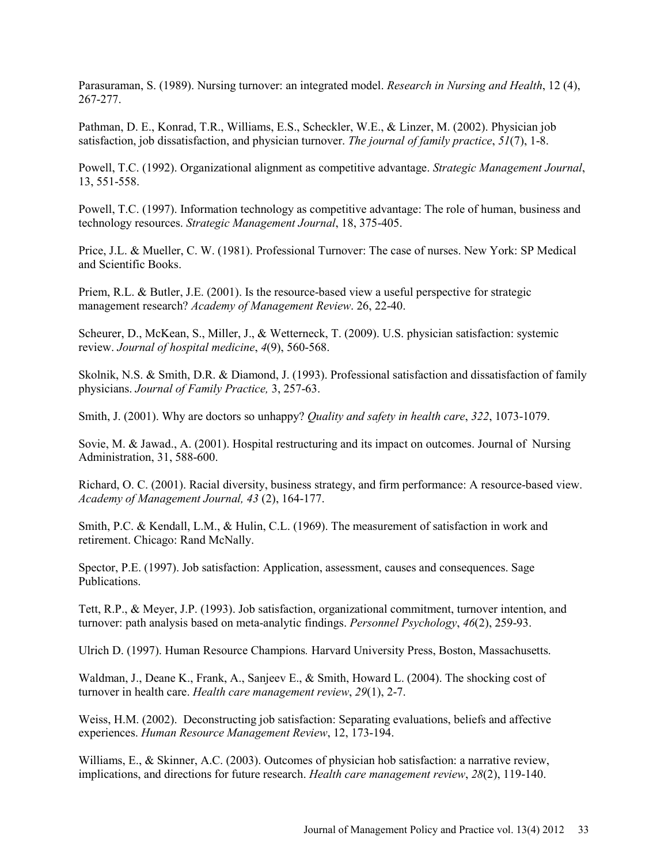Parasuraman, S. (1989). Nursing turnover: an integrated model. *Research in Nursing and Health*, 12 (4), 267-277.

Pathman, D. E., Konrad, T.R., Williams, E.S., Scheckler, W.E., & Linzer, M. (2002). Physician job satisfaction, job dissatisfaction, and physician turnover. *The journal of family practice*, *51*(7), 1-8.

Powell, T.C. (1992). Organizational alignment as competitive advantage. *Strategic Management Journal*, 13, 551-558.

Powell, T.C. (1997). Information technology as competitive advantage: The role of human, business and technology resources. *Strategic Management Journal*, 18, 375-405.

Price, J.L. & Mueller, C. W. (1981). Professional Turnover: The case of nurses. New York: SP Medical and Scientific Books.

Priem, R.L. & Butler, J.E. (2001). Is the resource-based view a useful perspective for strategic management research? *Academy of Management Review*. 26, 22-40.

Scheurer, D., McKean, S., Miller, J., & Wetterneck, T. (2009). U.S. physician satisfaction: systemic review. *Journal of hospital medicine*, *4*(9), 560-568.

Skolnik, N.S. & Smith, D.R. & Diamond, J. (1993). Professional satisfaction and dissatisfaction of family physicians. *Journal of Family Practice,* 3, 257-63.

Smith, J. (2001). Why are doctors so unhappy? *Quality and safety in health care*, *322*, 1073-1079.

Sovie, M. & Jawad., A. (2001). Hospital restructuring and its impact on outcomes. Journal of Nursing Administration, 31, 588-600.

Richard, O. C. (2001). Racial diversity, business strategy, and firm performance: A resource-based view. *Academy of Management Journal, 43* (2), 164-177.

Smith, P.C. & Kendall, L.M., & Hulin, C.L. (1969). The measurement of satisfaction in work and retirement. Chicago: Rand McNally.

Spector, P.E. (1997). Job satisfaction: Application, assessment, causes and consequences. Sage Publications.

Tett, R.P., & Meyer, J.P. (1993). Job satisfaction, organizational commitment, turnover intention, and turnover: path analysis based on meta-analytic findings. *Personnel Psychology*, *46*(2), 259-93.

Ulrich D. (1997). Human Resource Champions*.* Harvard University Press, Boston, Massachusetts.

Waldman, J., Deane K., Frank, A., Sanjeev E., & Smith, Howard L. (2004). The shocking cost of turnover in health care. *Health care management review*, *29*(1), 2-7.

Weiss, H.M. (2002). Deconstructing job satisfaction: Separating evaluations, beliefs and affective experiences. *Human Resource Management Review*, 12, 173-194.

Williams, E., & Skinner, A.C. (2003). Outcomes of physician hob satisfaction: a narrative review, implications, and directions for future research. *Health care management review*, *28*(2), 119-140.